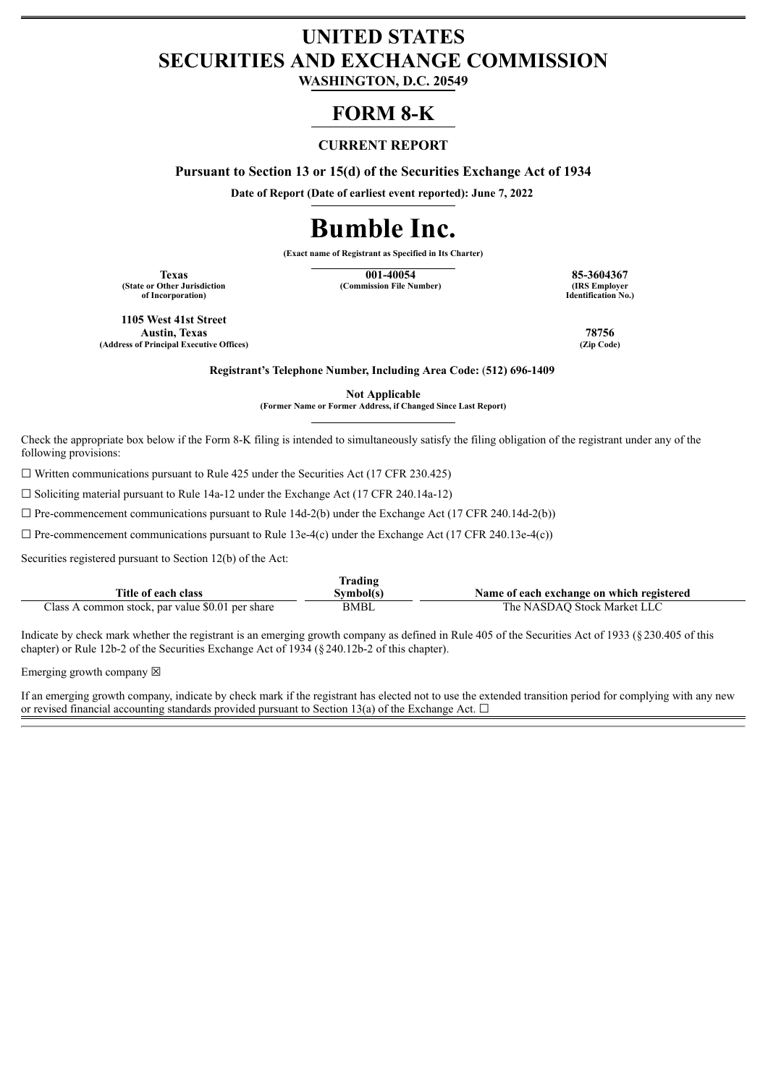# **UNITED STATES SECURITIES AND EXCHANGE COMMISSION**

**WASHINGTON, D.C. 20549**

# **FORM 8-K**

## **CURRENT REPORT**

**Pursuant to Section 13 or 15(d) of the Securities Exchange Act of 1934**

**Date of Report (Date of earliest event reported): June 7, 2022**

# **Bumble Inc.**

**(Exact name of Registrant as Specified in Its Charter)**

**(State or Other Jurisdiction of Incorporation)**

**Texas 001-40054 85-3604367 (Commission File Number)** 

**Identification No.)**

**1105 West 41st Street Austin, Texas 78756 (Address of Principal Executive Offices) (Zip Code)**

**Registrant's Telephone Number, Including Area Code:** (**512) 696-1409**

**Not Applicable**

**(Former Name or Former Address, if Changed Since Last Report)**

Check the appropriate box below if the Form 8-K filing is intended to simultaneously satisfy the filing obligation of the registrant under any of the following provisions:

 $\Box$  Written communications pursuant to Rule 425 under the Securities Act (17 CFR 230.425)

 $\Box$  Soliciting material pursuant to Rule 14a-12 under the Exchange Act (17 CFR 240.14a-12)

 $\Box$  Pre-commencement communications pursuant to Rule 14d-2(b) under the Exchange Act (17 CFR 240.14d-2(b))

 $\Box$  Pre-commencement communications pursuant to Rule 13e-4(c) under the Exchange Act (17 CFR 240.13e-4(c))

Securities registered pursuant to Section 12(b) of the Act:

| Trading                                          |             |                                           |  |  |  |
|--------------------------------------------------|-------------|-------------------------------------------|--|--|--|
| Title of each class                              | Svmbol(s)   | Name of each exchange on which registered |  |  |  |
| Class A common stock, par value \$0.01 per share | <b>BMBL</b> | The NASDAO Stock Market LLC               |  |  |  |

Indicate by check mark whether the registrant is an emerging growth company as defined in Rule 405 of the Securities Act of 1933 (§230.405 of this chapter) or Rule 12b-2 of the Securities Exchange Act of 1934 (§240.12b-2 of this chapter).

Emerging growth company  $\boxtimes$ 

If an emerging growth company, indicate by check mark if the registrant has elected not to use the extended transition period for complying with any new or revised financial accounting standards provided pursuant to Section 13(a) of the Exchange Act.  $\Box$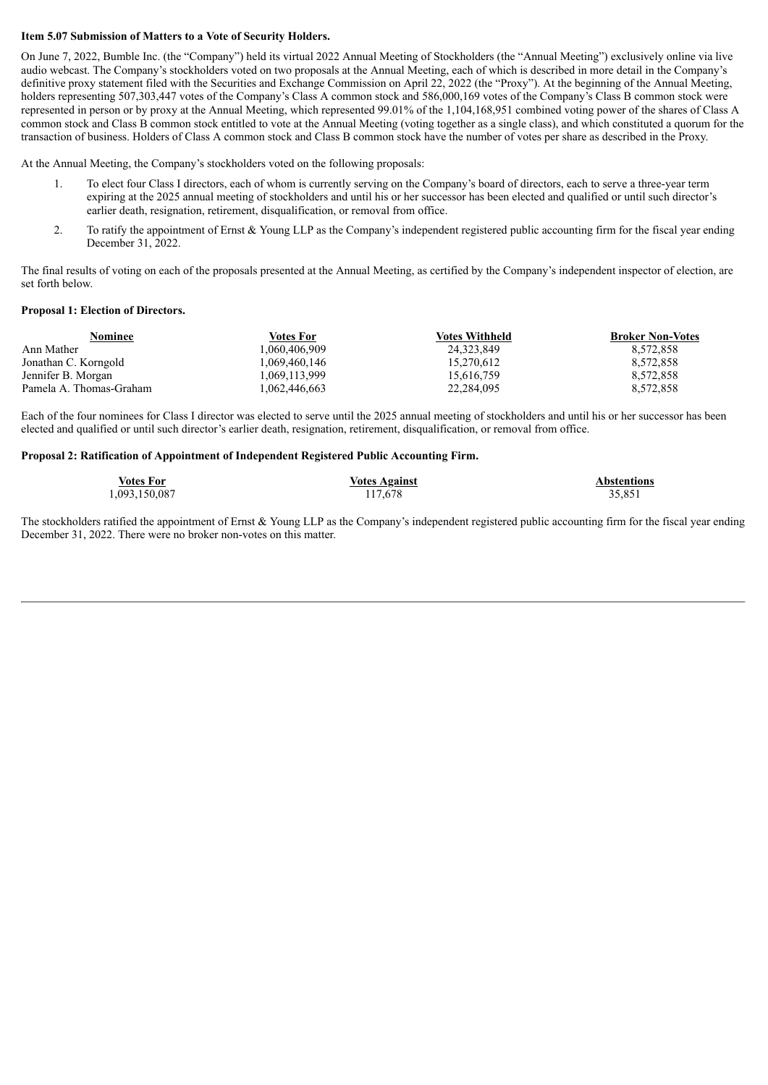#### **Item 5.07 Submission of Matters to a Vote of Security Holders.**

On June 7, 2022, Bumble Inc. (the "Company") held its virtual 2022 Annual Meeting of Stockholders (the "Annual Meeting") exclusively online via live audio webcast. The Company's stockholders voted on two proposals at the Annual Meeting, each of which is described in more detail in the Company's definitive proxy statement filed with the Securities and Exchange Commission on April 22, 2022 (the "Proxy"). At the beginning of the Annual Meeting, holders representing 507,303,447 votes of the Company's Class A common stock and 586,000,169 votes of the Company's Class B common stock were represented in person or by proxy at the Annual Meeting, which represented 99.01% of the 1,104,168,951 combined voting power of the shares of Class A common stock and Class B common stock entitled to vote at the Annual Meeting (voting together as a single class), and which constituted a quorum for the transaction of business. Holders of Class A common stock and Class B common stock have the number of votes per share as described in the Proxy.

At the Annual Meeting, the Company's stockholders voted on the following proposals:

- 1. To elect four Class I directors, each of whom is currently serving on the Company's board of directors, each to serve a three-year term expiring at the 2025 annual meeting of stockholders and until his or her successor has been elected and qualified or until such director's earlier death, resignation, retirement, disqualification, or removal from office.
- 2. To ratify the appointment of Ernst & Young LLP as the Company's independent registered public accounting firm for the fiscal year ending December 31, 2022.

The final results of voting on each of the proposals presented at the Annual Meeting, as certified by the Company's independent inspector of election, are set forth below.

#### **Proposal 1: Election of Directors.**

| Nominee                 | Votes For     | <b>Votes Withheld</b> | <b>Broker Non-Votes</b> |
|-------------------------|---------------|-----------------------|-------------------------|
| Ann Mather              | 1.060.406.909 | 24.323.849            | 8.572.858               |
| Jonathan C. Korngold    | 1.069.460.146 | 15.270.612            | 8.572.858               |
| Jennifer B. Morgan      | 1.069.113.999 | 15.616.759            | 8.572.858               |
| Pamela A. Thomas-Graham | .062.446.663  | 22.284.095            | 8.572.858               |

Each of the four nominees for Class I director was elected to serve until the 2025 annual meeting of stockholders and until his or her successor has been elected and qualified or until such director's earlier death, resignation, retirement, disqualification, or removal from office.

#### **Proposal 2: Ratification of Appointment of Independent Registered Public Accounting Firm.**

| Votes For     | <b>Votes Against</b> | <b>Abstentions</b> |
|---------------|----------------------|--------------------|
| 1,093,150,087 | 117,678              | 35,851             |

The stockholders ratified the appointment of Ernst & Young LLP as the Company's independent registered public accounting firm for the fiscal year ending December 31, 2022. There were no broker non-votes on this matter.